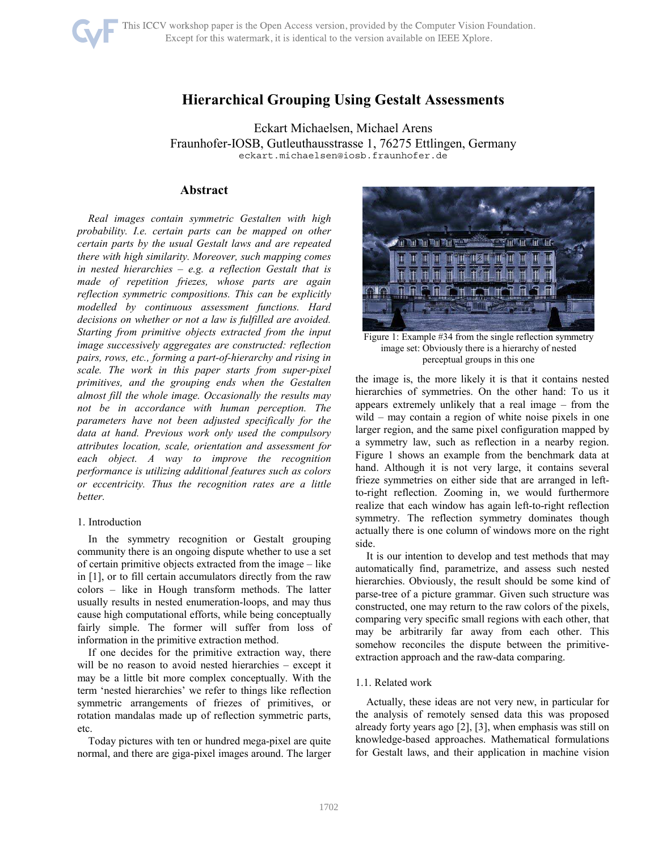

# **Hierarchical Grouping Using Gestalt Assessments**

Eckart Michaelsen, Michael Arens Fraunhofer-IOSB, Gutleuthausstrasse 1, 76275 Ettlingen, Germany eckart.michaelsen@iosb.fraunhofer.de

### **Abstract**

*Real images contain symmetric Gestalten with high probability. I.e. certain parts can be mapped on other certain parts by the usual Gestalt laws and are repeated there with high similarity. Moreover, such mapping comes in nested hierarchies – e.g. a reflection Gestalt that is made of repetition friezes, whose parts are again reflection symmetric compositions. This can be explicitly modelled by continuous assessment functions. Hard decisions on whether or not a law is fulfilled are avoided. Starting from primitive objects extracted from the input image successively aggregates are constructed: reflection pairs, rows, etc., forming a part-of-hierarchy and rising in scale. The work in this paper starts from super-pixel primitives, and the grouping ends when the Gestalten almost fill the whole image. Occasionally the results may not be in accordance with human perception. The parameters have not been adjusted specifically for the data at hand. Previous work only used the compulsory attributes location, scale, orientation and assessment for each object. A way to improve the recognition performance is utilizing additional features such as colors or eccentricity. Thus the recognition rates are a little better.* 

#### 1. Introduction

In the symmetry recognition or Gestalt grouping community there is an ongoing dispute whether to use a set of certain primitive objects extracted from the image – like in [1], or to fill certain accumulators directly from the raw colors – like in Hough transform methods. The latter usually results in nested enumeration-loops, and may thus cause high computational efforts, while being conceptually fairly simple. The former will suffer from loss of information in the primitive extraction method.

If one decides for the primitive extraction way, there will be no reason to avoid nested hierarchies – except it may be a little bit more complex conceptually. With the term 'nested hierarchies' we refer to things like reflection symmetric arrangements of friezes of primitives, or rotation mandalas made up of reflection symmetric parts, etc.

Today pictures with ten or hundred mega-pixel are quite normal, and there are giga-pixel images around. The larger



Figure 1: Example #34 from the single reflection symmetry image set: Obviously there is a hierarchy of nested perceptual groups in this one

the image is, the more likely it is that it contains nested hierarchies of symmetries. On the other hand: To us it appears extremely unlikely that a real image – from the wild – may contain a region of white noise pixels in one larger region, and the same pixel configuration mapped by a symmetry law, such as reflection in a nearby region. Figure 1 shows an example from the benchmark data at hand. Although it is not very large, it contains several frieze symmetries on either side that are arranged in leftto-right reflection. Zooming in, we would furthermore realize that each window has again left-to-right reflection symmetry. The reflection symmetry dominates though actually there is one column of windows more on the right side.

It is our intention to develop and test methods that may automatically find, parametrize, and assess such nested hierarchies. Obviously, the result should be some kind of parse-tree of a picture grammar. Given such structure was constructed, one may return to the raw colors of the pixels, comparing very specific small regions with each other, that may be arbitrarily far away from each other. This somehow reconciles the dispute between the primitiveextraction approach and the raw-data comparing.

#### 1.1. Related work

Actually, these ideas are not very new, in particular for the analysis of remotely sensed data this was proposed already forty years ago [2], [3], when emphasis was still on knowledge-based approaches. Mathematical formulations for Gestalt laws, and their application in machine vision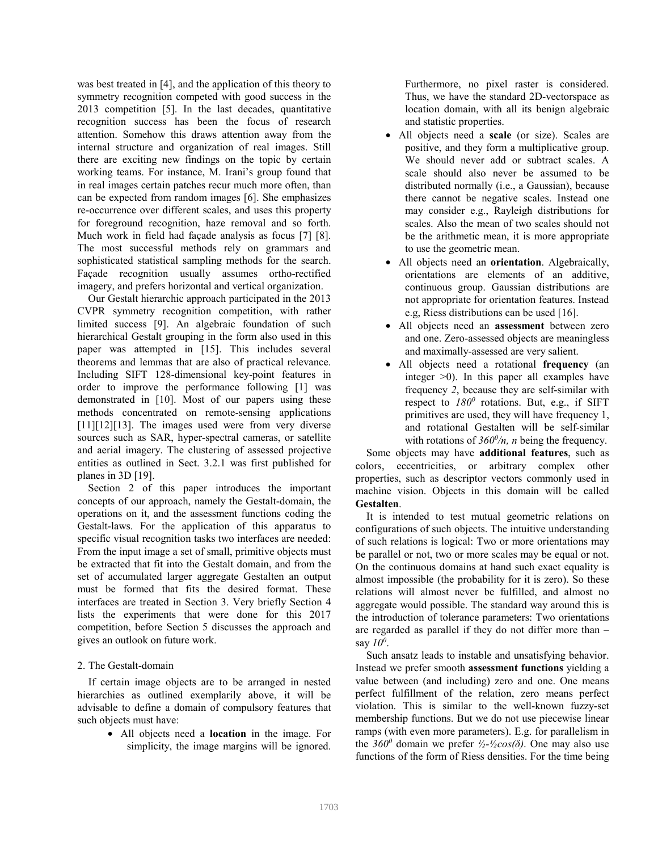was best treated in [4], and the application of this theory to symmetry recognition competed with good success in the 2013 competition [5]. In the last decades, quantitative recognition success has been the focus of research attention. Somehow this draws attention away from the internal structure and organization of real images. Still there are exciting new findings on the topic by certain working teams. For instance, M. Irani's group found that in real images certain patches recur much more often, than can be expected from random images [6]. She emphasizes re-occurrence over different scales, and uses this property for foreground recognition, haze removal and so forth. Much work in field had façade analysis as focus [7] [8]. The most successful methods rely on grammars and sophisticated statistical sampling methods for the search. Façade recognition usually assumes ortho-rectified imagery, and prefers horizontal and vertical organization.

Our Gestalt hierarchic approach participated in the 2013 CVPR symmetry recognition competition, with rather limited success [9]. An algebraic foundation of such hierarchical Gestalt grouping in the form also used in this paper was attempted in [15]. This includes several theorems and lemmas that are also of practical relevance. Including SIFT 128-dimensional key-point features in order to improve the performance following [1] was demonstrated in [10]. Most of our papers using these methods concentrated on remote-sensing applications [11][12][13]. The images used were from very diverse sources such as SAR, hyper-spectral cameras, or satellite and aerial imagery. The clustering of assessed projective entities as outlined in Sect. 3.2.1 was first published for planes in 3D [19].

Section 2 of this paper introduces the important concepts of our approach, namely the Gestalt-domain, the operations on it, and the assessment functions coding the Gestalt-laws. For the application of this apparatus to specific visual recognition tasks two interfaces are needed: From the input image a set of small, primitive objects must be extracted that fit into the Gestalt domain, and from the set of accumulated larger aggregate Gestalten an output must be formed that fits the desired format. These interfaces are treated in Section 3. Very briefly Section 4 lists the experiments that were done for this 2017 competition, before Section 5 discusses the approach and gives an outlook on future work.

# 2. The Gestalt-domain

If certain image objects are to be arranged in nested hierarchies as outlined exemplarily above, it will be advisable to define a domain of compulsory features that such objects must have:

> • All objects need a **location** in the image. For simplicity, the image margins will be ignored.

Furthermore, no pixel raster is considered. Thus, we have the standard 2D-vectorspace as location domain, with all its benign algebraic and statistic properties.

- All objects need a **scale** (or size). Scales are positive, and they form a multiplicative group. We should never add or subtract scales. A scale should also never be assumed to be distributed normally (i.e., a Gaussian), because there cannot be negative scales. Instead one may consider e.g., Rayleigh distributions for scales. Also the mean of two scales should not be the arithmetic mean, it is more appropriate to use the geometric mean.
- All objects need an **orientation**. Algebraically, orientations are elements of an additive, continuous group. Gaussian distributions are not appropriate for orientation features. Instead e.g, Riess distributions can be used [16].
- All objects need an **assessment** between zero and one. Zero-assessed objects are meaningless and maximally-assessed are very salient.
- All objects need a rotational **frequency** (an integer >0). In this paper all examples have frequency *2*, because they are self-similar with respect to  $180^0$  rotations. But, e.g., if SIFT primitives are used, they will have frequency 1, and rotational Gestalten will be self-similar with rotations of  $360^{\circ}/n$ , *n* being the frequency.

Some objects may have **additional features**, such as colors, eccentricities, or arbitrary complex other properties, such as descriptor vectors commonly used in machine vision. Objects in this domain will be called **Gestalten**.

It is intended to test mutual geometric relations on configurations of such objects. The intuitive understanding of such relations is logical: Two or more orientations may be parallel or not, two or more scales may be equal or not. On the continuous domains at hand such exact equality is almost impossible (the probability for it is zero). So these relations will almost never be fulfilled, and almost no aggregate would possible. The standard way around this is the introduction of tolerance parameters: Two orientations are regarded as parallel if they do not differ more than – say *10<sup>0</sup>* .

Such ansatz leads to instable and unsatisfying behavior. Instead we prefer smooth **assessment functions** yielding a value between (and including) zero and one. One means perfect fulfillment of the relation, zero means perfect violation. This is similar to the well-known fuzzy-set membership functions. But we do not use piecewise linear ramps (with even more parameters). E.g. for parallelism in the  $360^{\circ}$  domain we prefer  $\frac{1}{2}$ - $\frac{1}{2}$ cos( $\delta$ ). One may also use functions of the form of Riess densities. For the time being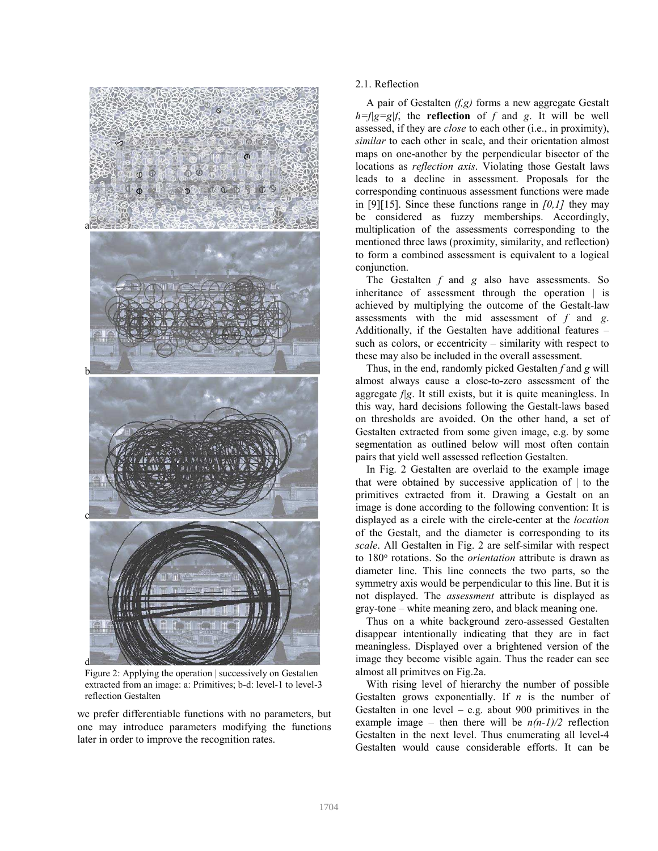

Figure 2: Applying the operation | successively on Gestalten extracted from an image: a: Primitives; b-d: level-1 to level-3 reflection Gestalten

we prefer differentiable functions with no parameters, but one may introduce parameters modifying the functions later in order to improve the recognition rates.

# 2.1. Reflection

A pair of Gestalten *(f,g)* forms a new aggregate Gestalt  $h=f|g=g|f$ , the **reflection** of *f* and *g*. It will be well assessed, if they are *close* to each other (i.e., in proximity), *similar* to each other in scale, and their orientation almost maps on one-another by the perpendicular bisector of the locations as *reflection axis*. Violating those Gestalt laws leads to a decline in assessment. Proposals for the corresponding continuous assessment functions were made in [9][15]. Since these functions range in *[0,1]* they may be considered as fuzzy memberships. Accordingly, multiplication of the assessments corresponding to the mentioned three laws (proximity, similarity, and reflection) to form a combined assessment is equivalent to a logical conjunction.

The Gestalten *f* and *g* also have assessments. So inheritance of assessment through the operation | is achieved by multiplying the outcome of the Gestalt-law assessments with the mid assessment of *f* and *g*. Additionally, if the Gestalten have additional features – such as colors, or eccentricity – similarity with respect to these may also be included in the overall assessment.

Thus, in the end, randomly picked Gestalten *f* and *g* will almost always cause a close-to-zero assessment of the aggregate *f|g*. It still exists, but it is quite meaningless. In this way, hard decisions following the Gestalt-laws based on thresholds are avoided. On the other hand, a set of Gestalten extracted from some given image, e.g. by some segmentation as outlined below will most often contain pairs that yield well assessed reflection Gestalten.

In Fig. 2 Gestalten are overlaid to the example image that were obtained by successive application of  $\vert$  to the primitives extracted from it. Drawing a Gestalt on an image is done according to the following convention: It is displayed as a circle with the circle-center at the *location* of the Gestalt, and the diameter is corresponding to its *scale*. All Gestalten in Fig. 2 are self-similar with respect to 180° rotations. So the *orientation* attribute is drawn as diameter line. This line connects the two parts, so the symmetry axis would be perpendicular to this line. But it is not displayed. The *assessment* attribute is displayed as gray-tone – white meaning zero, and black meaning one.

Thus on a white background zero-assessed Gestalten disappear intentionally indicating that they are in fact meaningless. Displayed over a brightened version of the image they become visible again. Thus the reader can see almost all primitves on Fig.2a.

With rising level of hierarchy the number of possible Gestalten grows exponentially. If *n* is the number of Gestalten in one level – e.g. about 900 primitives in the example image – then there will be  $n(n-1)/2$  reflection Gestalten in the next level. Thus enumerating all level-4 Gestalten would cause considerable efforts. It can be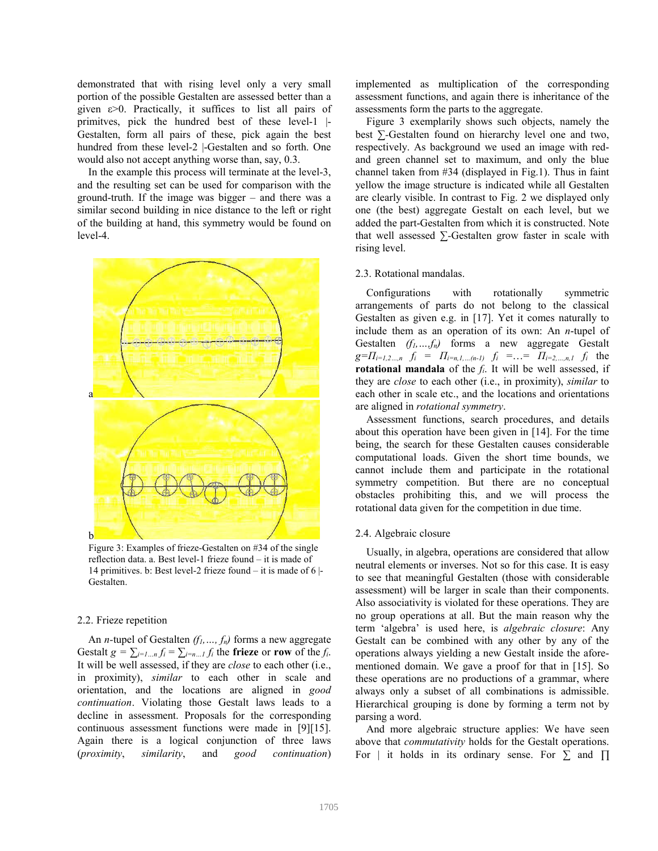demonstrated that with rising level only a very small portion of the possible Gestalten are assessed better than a given ε>0. Practically, it suffices to list all pairs of primitves, pick the hundred best of these level-1 |- Gestalten, form all pairs of these, pick again the best hundred from these level-2 |-Gestalten and so forth. One would also not accept anything worse than, say, 0.3.

In the example this process will terminate at the level-3, and the resulting set can be used for comparison with the ground-truth. If the image was bigger – and there was a similar second building in nice distance to the left or right of the building at hand, this symmetry would be found on level-4.



Figure 3: Examples of frieze-Gestalten on #34 of the single reflection data. a. Best level-1 frieze found – it is made of 14 primitives. b: Best level-2 frieze found – it is made of 6 |- Gestalten.

### 2.2. Frieze repetition

An *n-*tupel of Gestalten *(f1,…, fn)* forms a new aggregate Gestalt  $g = \sum_{i=1...n} f_i = \sum_{i=n...1} f_i$  the frieze or row of the *f*<sub>*i*</sub>. It will be well assessed, if they are *close* to each other (i.e., in proximity), *similar* to each other in scale and orientation, and the locations are aligned in *good continuation*. Violating those Gestalt laws leads to a decline in assessment. Proposals for the corresponding continuous assessment functions were made in [9][15]. Again there is a logical conjunction of three laws (*proximity*, *similarity*, and *good continuation*) implemented as multiplication of the corresponding assessment functions, and again there is inheritance of the assessments form the parts to the aggregate.

Figure 3 exemplarily shows such objects, namely the best *∑-*Gestalten found on hierarchy level one and two, respectively. As background we used an image with redand green channel set to maximum, and only the blue channel taken from #34 (displayed in Fig.1). Thus in faint yellow the image structure is indicated while all Gestalten are clearly visible. In contrast to Fig. 2 we displayed only one (the best) aggregate Gestalt on each level, but we added the part-Gestalten from which it is constructed. Note that well assessed *∑-*Gestalten grow faster in scale with rising level.

### 2.3. Rotational mandalas.

Configurations with rotationally symmetric arrangements of parts do not belong to the classical Gestalten as given e.g. in [17]. Yet it comes naturally to include them as an operation of its own: An *n*-tupel of Gestalten *(f1,…,fn)* forms a new aggregate Gestalt  $g=T_{i=1,2...n}$ *f<sub>i</sub>* = *Π*<sub>*i*=*n*,*1,…(n-1)f<sub>i</sub>* = ... = *Π*<sub>*i*=2,…*n*,*1f<sub>i</sub>* the</sub></sub> **rotational mandala** of the *fi*. It will be well assessed, if they are *close* to each other (i.e., in proximity), *similar* to each other in scale etc., and the locations and orientations are aligned in *rotational symmetry*.

Assessment functions, search procedures, and details about this operation have been given in [14]. For the time being, the search for these Gestalten causes considerable computational loads. Given the short time bounds, we cannot include them and participate in the rotational symmetry competition. But there are no conceptual obstacles prohibiting this, and we will process the rotational data given for the competition in due time.

#### 2.4. Algebraic closure

Usually, in algebra, operations are considered that allow neutral elements or inverses. Not so for this case. It is easy to see that meaningful Gestalten (those with considerable assessment) will be larger in scale than their components. Also associativity is violated for these operations. They are no group operations at all. But the main reason why the term 'algebra' is used here, is *algebraic closure*: Any Gestalt can be combined with any other by any of the operations always yielding a new Gestalt inside the aforementioned domain. We gave a proof for that in [15]. So these operations are no productions of a grammar, where always only a subset of all combinations is admissible. Hierarchical grouping is done by forming a term not by parsing a word.

And more algebraic structure applies: We have seen above that *commutativity* holds for the Gestalt operations. For | it holds in its ordinary sense. For *∑* and *∏*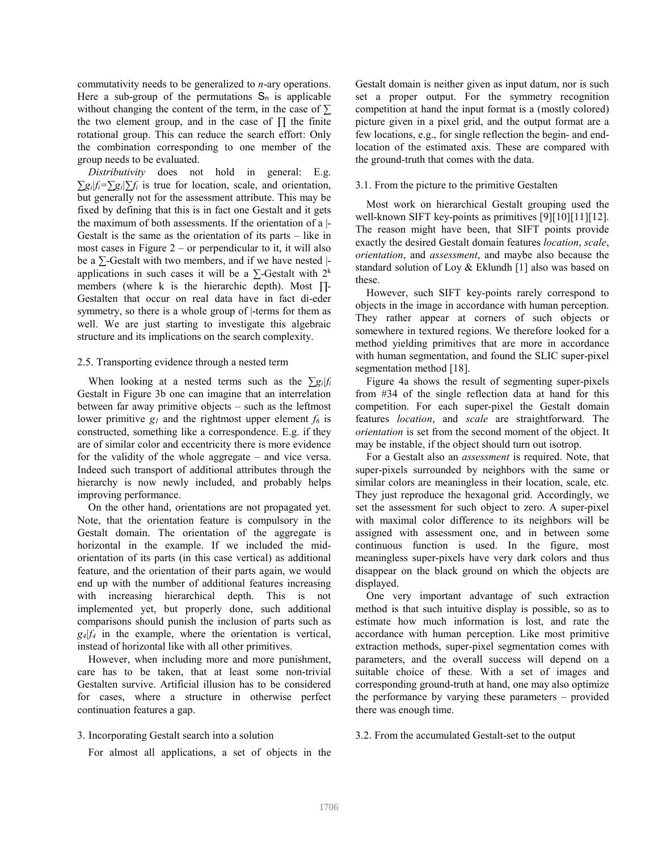commutativity needs to be generalized to *n*-ary operations. Here a sub-group of the permutations  $S_n$  is applicable without changing the content of the term, in the case of *∑* the two element group, and in the case of *∏* the finite rotational group. This can reduce the search effort: Only the combination corresponding to one member of the group needs to be evaluated.

*Distributivity* does not hold in general: E.g.  $\sum g_i |f_i = \sum g_i| \sum f_i$  is true for location, scale, and orientation, but generally not for the assessment attribute. This may be fixed by defining that this is in fact one Gestalt and it gets the maximum of both assessments. If the orientation of a |- Gestalt is the same as the orientation of its parts – like in most cases in Figure  $2$  – or perpendicular to it, it will also be a *∑*-Gestalt with two members, and if we have nested | applications in such cases it will be a  $\sum$ -Gestalt with 2<sup>k</sup> members (where k is the hierarchic depth). Most *∏-* Gestalten that occur on real data have in fact di-eder symmetry, so there is a whole group of  $\vert$ -terms for them as well. We are just starting to investigate this algebraic structure and its implications on the search complexity.

#### 2.5. Transporting evidence through a nested term

When looking at a nested terms such as the *∑gi|f<sup>i</sup>* Gestalt in Figure 3b one can imagine that an interrelation between far away primitive objects – such as the leftmost lower primitive  $g_l$  and the rightmost upper element  $f_6$  is constructed, something like a correspondence. E.g. if they are of similar color and eccentricity there is more evidence for the validity of the whole aggregate – and vice versa. Indeed such transport of additional attributes through the hierarchy is now newly included, and probably helps improving performance.

On the other hand, orientations are not propagated yet. Note, that the orientation feature is compulsory in the Gestalt domain. The orientation of the aggregate is horizontal in the example. If we included the midorientation of its parts (in this case vertical) as additional feature, and the orientation of their parts again, we would end up with the number of additional features increasing with increasing hierarchical depth. This is not implemented yet, but properly done, such additional comparisons should punish the inclusion of parts such as  $g_4$  $f_4$  in the example, where the orientation is vertical, instead of horizontal like with all other primitives.

However, when including more and more punishment, care has to be taken, that at least some non-trivial Gestalten survive. Artificial illusion has to be considered for cases, where a structure in otherwise perfect continuation features a gap.

#### 3. Incorporating Gestalt search into a solution

For almost all applications, a set of objects in the

Gestalt domain is neither given as input datum, nor is such set a proper output. For the symmetry recognition competition at hand the input format is a (mostly colored) picture given in a pixel grid, and the output format are a few locations, e.g., for single reflection the begin- and endlocation of the estimated axis. These are compared with the ground-truth that comes with the data.

#### 3.1. From the picture to the primitive Gestalten

Most work on hierarchical Gestalt grouping used the well-known SIFT key-points as primitives [9][10][11][12]. The reason might have been, that SIFT points provide exactly the desired Gestalt domain features *location*, *scale*, *orientation*, and *assessment*, and maybe also because the standard solution of Loy & Eklundh [1] also was based on these.

However, such SIFT key-points rarely correspond to objects in the image in accordance with human perception. They rather appear at corners of such objects or somewhere in textured regions. We therefore looked for a method yielding primitives that are more in accordance with human segmentation, and found the SLIC super-pixel segmentation method [18].

Figure 4a shows the result of segmenting super-pixels from #34 of the single reflection data at hand for this competition. For each super-pixel the Gestalt domain features *location*, and *scale* are straightforward. The *orientation* is set from the second moment of the object. It may be instable, if the object should turn out isotrop.

For a Gestalt also an *assessment* is required. Note, that super-pixels surrounded by neighbors with the same or similar colors are meaningless in their location, scale, etc. They just reproduce the hexagonal grid. Accordingly, we set the assessment for such object to zero. A super-pixel with maximal color difference to its neighbors will be assigned with assessment one, and in between some continuous function is used. In the figure, most meaningless super-pixels have very dark colors and thus disappear on the black ground on which the objects are displayed.

One very important advantage of such extraction method is that such intuitive display is possible, so as to estimate how much information is lost, and rate the accordance with human perception. Like most primitive extraction methods, super-pixel segmentation comes with parameters, and the overall success will depend on a suitable choice of these. With a set of images and corresponding ground-truth at hand, one may also optimize the performance by varying these parameters – provided there was enough time.

3.2. From the accumulated Gestalt-set to the output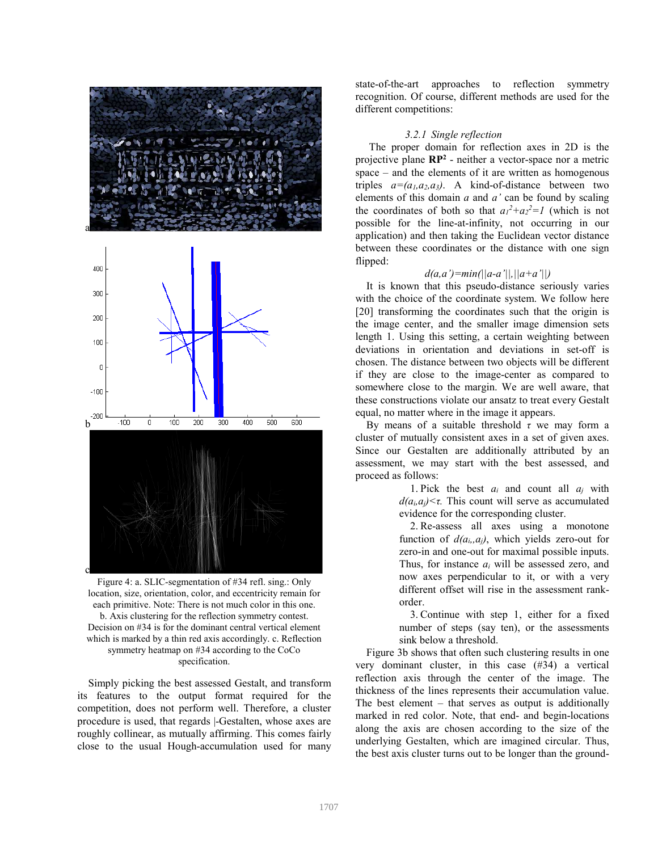



Figure 4: a. SLIC-segmentation of #34 refl. sing.: Only location, size, orientation, color, and eccentricity remain for each primitive. Note: There is not much color in this one. b. Axis clustering for the reflection symmetry contest. Decision on #34 is for the dominant central vertical element which is marked by a thin red axis accordingly. c. Reflection symmetry heatmap on #34 according to the CoCo specification.

Simply picking the best assessed Gestalt, and transform its features to the output format required for the competition, does not perform well. Therefore, a cluster procedure is used, that regards |-Gestalten, whose axes are roughly collinear, as mutually affirming. This comes fairly close to the usual Hough-accumulation used for many state-of-the-art approaches to reflection symmetry recognition. Of course, different methods are used for the different competitions:

### *3.2.1 Single reflection*

 The proper domain for reflection axes in 2D is the projective plane **RP<sup>2</sup>** - neither a vector-space nor a metric space – and the elements of it are written as homogenous triples  $a=(a_1, a_2, a_3)$ . A kind-of-distance between two elements of this domain *a* and *a'* can be found by scaling the coordinates of both so that  $a_1^2 + a_2^2 = 1$  (which is not possible for the line-at-infinity, not occurring in our application) and then taking the Euclidean vector distance between these coordinates or the distance with one sign flipped:

### *d(a,a')=min(||a-a'||,||a+a'||)*

It is known that this pseudo-distance seriously varies with the choice of the coordinate system. We follow here [20] transforming the coordinates such that the origin is the image center, and the smaller image dimension sets length 1. Using this setting, a certain weighting between deviations in orientation and deviations in set-off is chosen. The distance between two objects will be different if they are close to the image-center as compared to somewhere close to the margin. We are well aware, that these constructions violate our ansatz to treat every Gestalt equal, no matter where in the image it appears.

By means of a suitable threshold *τ* we may form a cluster of mutually consistent axes in a set of given axes. Since our Gestalten are additionally attributed by an assessment, we may start with the best assessed, and proceed as follows:

> 1. Pick the best  $a_i$  and count all  $a_j$  with  $d(a_i, a_j) \leq \tau$ . This count will serve as accumulated evidence for the corresponding cluster.

> 2. Re-assess all axes using a monotone function of  $d(a_i, a_j)$ , which yields zero-out for zero-in and one-out for maximal possible inputs. Thus, for instance *ai* will be assessed zero, and now axes perpendicular to it, or with a very different offset will rise in the assessment rankorder.

> 3. Continue with step 1, either for a fixed number of steps (say ten), or the assessments sink below a threshold.

Figure 3b shows that often such clustering results in one very dominant cluster, in this case (#34) a vertical reflection axis through the center of the image. The thickness of the lines represents their accumulation value. The best element – that serves as output is additionally marked in red color. Note, that end- and begin-locations along the axis are chosen according to the size of the underlying Gestalten, which are imagined circular. Thus, the best axis cluster turns out to be longer than the ground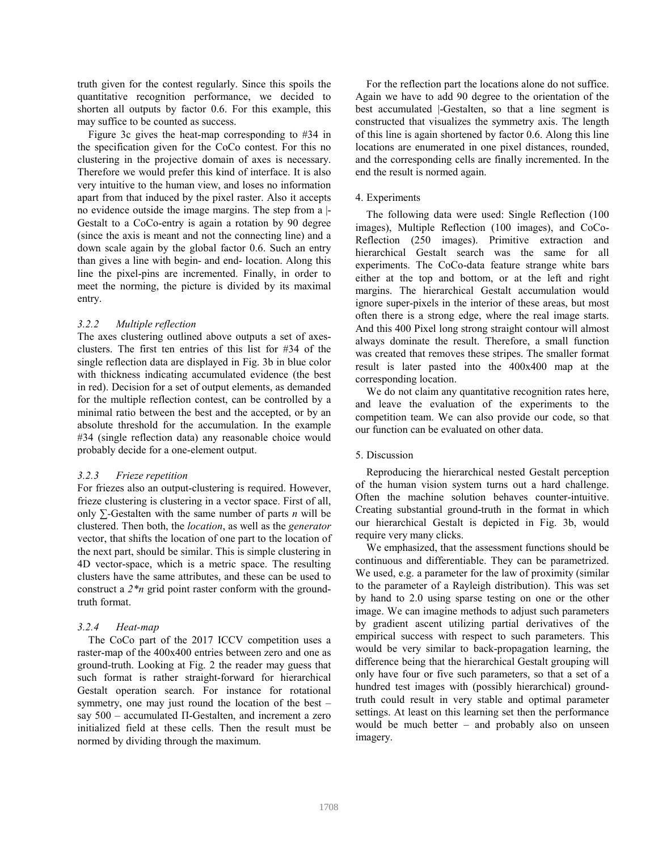truth given for the contest regularly. Since this spoils the quantitative recognition performance, we decided to shorten all outputs by factor 0.6. For this example, this may suffice to be counted as success.

Figure 3c gives the heat-map corresponding to #34 in the specification given for the CoCo contest. For this no clustering in the projective domain of axes is necessary. Therefore we would prefer this kind of interface. It is also very intuitive to the human view, and loses no information apart from that induced by the pixel raster. Also it accepts no evidence outside the image margins. The step from a |- Gestalt to a CoCo-entry is again a rotation by 90 degree (since the axis is meant and not the connecting line) and a down scale again by the global factor 0.6. Such an entry than gives a line with begin- and end- location. Along this line the pixel-pins are incremented. Finally, in order to meet the norming, the picture is divided by its maximal entry.

## *3.2.2 Multiple reflection*

The axes clustering outlined above outputs a set of axesclusters. The first ten entries of this list for #34 of the single reflection data are displayed in Fig. 3b in blue color with thickness indicating accumulated evidence (the best in red). Decision for a set of output elements, as demanded for the multiple reflection contest, can be controlled by a minimal ratio between the best and the accepted, or by an absolute threshold for the accumulation. In the example #34 (single reflection data) any reasonable choice would probably decide for a one-element output.

### *3.2.3 Frieze repetition*

For friezes also an output-clustering is required. However, frieze clustering is clustering in a vector space. First of all, only *∑-*Gestalten with the same number of parts *n* will be clustered. Then both, the *location*, as well as the *generator* vector, that shifts the location of one part to the location of the next part, should be similar. This is simple clustering in 4D vector-space, which is a metric space. The resulting clusters have the same attributes, and these can be used to construct a *2\*n* grid point raster conform with the groundtruth format.

# *3.2.4 Heat-map*

The CoCo part of the 2017 ICCV competition uses a raster-map of the 400x400 entries between zero and one as ground-truth. Looking at Fig. 2 the reader may guess that such format is rather straight-forward for hierarchical Gestalt operation search. For instance for rotational symmetry, one may just round the location of the best – say 500 – accumulated Π-Gestalten, and increment a zero initialized field at these cells. Then the result must be normed by dividing through the maximum.

For the reflection part the locations alone do not suffice. Again we have to add 90 degree to the orientation of the best accumulated |-Gestalten, so that a line segment is constructed that visualizes the symmetry axis. The length of this line is again shortened by factor 0.6. Along this line locations are enumerated in one pixel distances, rounded, and the corresponding cells are finally incremented. In the end the result is normed again.

# 4. Experiments

The following data were used: Single Reflection (100 images), Multiple Reflection (100 images), and CoCo-Reflection (250 images). Primitive extraction and hierarchical Gestalt search was the same for all experiments. The CoCo-data feature strange white bars either at the top and bottom, or at the left and right margins. The hierarchical Gestalt accumulation would ignore super-pixels in the interior of these areas, but most often there is a strong edge, where the real image starts. And this 400 Pixel long strong straight contour will almost always dominate the result. Therefore, a small function was created that removes these stripes. The smaller format result is later pasted into the 400x400 map at the corresponding location.

We do not claim any quantitative recognition rates here, and leave the evaluation of the experiments to the competition team. We can also provide our code, so that our function can be evaluated on other data.

# 5. Discussion

Reproducing the hierarchical nested Gestalt perception of the human vision system turns out a hard challenge. Often the machine solution behaves counter-intuitive. Creating substantial ground-truth in the format in which our hierarchical Gestalt is depicted in Fig. 3b, would require very many clicks.

We emphasized, that the assessment functions should be continuous and differentiable. They can be parametrized. We used, e.g. a parameter for the law of proximity (similar to the parameter of a Rayleigh distribution). This was set by hand to 2.0 using sparse testing on one or the other image. We can imagine methods to adjust such parameters by gradient ascent utilizing partial derivatives of the empirical success with respect to such parameters. This would be very similar to back-propagation learning, the difference being that the hierarchical Gestalt grouping will only have four or five such parameters, so that a set of a hundred test images with (possibly hierarchical) groundtruth could result in very stable and optimal parameter settings. At least on this learning set then the performance would be much better – and probably also on unseen imagery.